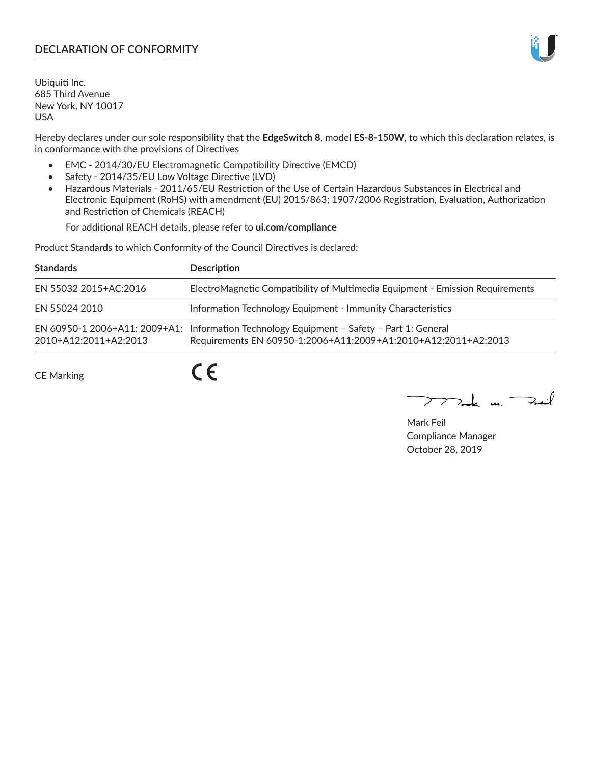# **DECLARATION OF CONFORMITY**

Ubiquiti Inc. 685 Third Avenue New York, NY 10017 USA

Hereby declares under our sole responsibility that the **EdgeSwitch 8**, model **ES-8-150W**, to which this declaration relates, is in conformance with the provisions of Directives

- EMC 2014/30/EU Electromagnetic Compatibility Directive (EMCD)
- Safety 2014/35/EU Low Voltage Directive (LVD)
- Hazardous Materials 2011/65/EU Restriction of the Use of Certain Hazardous Substances in Electrical and Electronic Equipment (RoHS) with amendment (EU) 2015/863; 1907/2006 Registration, Evaluation, Authorization and Restriction of Chemicals (REACH)

For additional REACH details, please refer to **ui.com/compliance**

Product Standards to which Conformity of the Council Directives is declared:

| <b>Standards</b>      | <b>Description</b>                                                                                                                                          |
|-----------------------|-------------------------------------------------------------------------------------------------------------------------------------------------------------|
| EN 55032 2015+AC:2016 | ElectroMagnetic Compatibility of Multimedia Equipment - Emission Requirements                                                                               |
| EN 55024 2010         | Information Technology Equipment - Immunity Characteristics                                                                                                 |
| 2010+A12:2011+A2:2013 | EN 60950-1 2006+A11: 2009+A1: Information Technology Equipment - Safety - Part 1: General<br>Requirements EN 60950-1:2006+A11:2009+A1:2010+A12:2011+A2:2013 |

CE Marking

 $C \in$ 

Mak m. Fail

Mark Feil Compliance Manager October 28, 2019

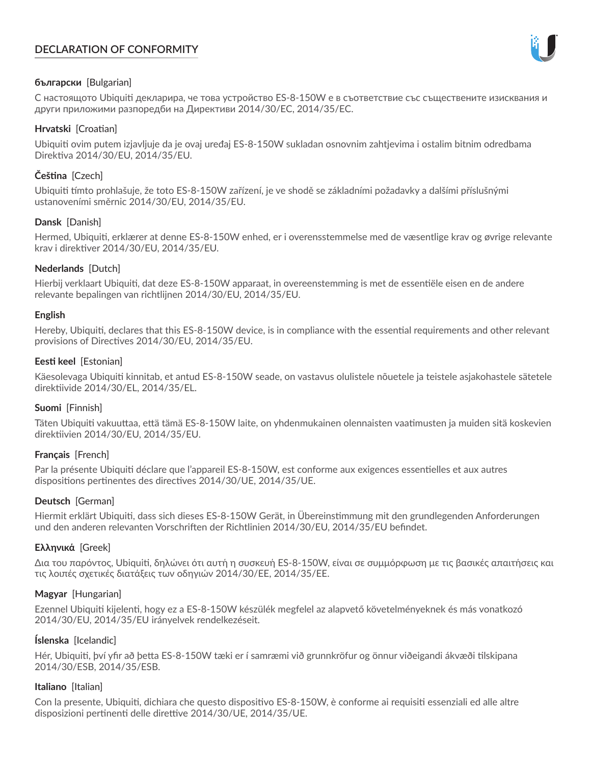# **DECLARATION OF CONFORMITY**



# **български** [Bulgarian]

С настоящото Ubiquiti декларира, че това устройство ES-8-150W е в съответствие със съществените изисквания и други приложими разпоредби на Директиви 2014/30/ЕС, 2014/35/ЕС.

## **Hrvatski** [Croatian]

Ubiquiti ovim putem izjavljuje da je ovaj uređaj ES-8-150W sukladan osnovnim zahtjevima i ostalim bitnim odredbama Direktiva 2014/30/EU, 2014/35/EU.

# **Čeština** [Czech]

Ubiquiti tímto prohlašuje, že toto ES-8-150W zařízení, je ve shodě se základními požadavky a dalšími příslušnými ustanoveními směrnic 2014/30/EU, 2014/35/EU.

# **Dansk** [Danish]

Hermed, Ubiquiti, erklærer at denne ES-8-150W enhed, er i overensstemmelse med de væsentlige krav og øvrige relevante krav i direktiver 2014/30/EU, 2014/35/EU.

# **Nederlands** [Dutch]

Hierbij verklaart Ubiquiti, dat deze ES-8-150W apparaat, in overeenstemming is met de essentiële eisen en de andere relevante bepalingen van richtlijnen 2014/30/EU, 2014/35/EU.

## **English**

Hereby, Ubiquiti, declares that this ES-8-150W device, is in compliance with the essential requirements and other relevant provisions of Directives 2014/30/EU, 2014/35/EU.

# **Eesti keel** [Estonian]

Käesolevaga Ubiquiti kinnitab, et antud ES-8-150W seade, on vastavus olulistele nõuetele ja teistele asjakohastele sätetele direktiivide 2014/30/EL, 2014/35/EL.

## **Suomi** [Finnish]

Täten Ubiquiti vakuuttaa, että tämä ES-8-150W laite, on yhdenmukainen olennaisten vaatimusten ja muiden sitä koskevien direktiivien 2014/30/EU, 2014/35/EU.

## **Français** [French]

Par la présente Ubiquiti déclare que l'appareil ES-8-150W, est conforme aux exigences essentielles et aux autres dispositions pertinentes des directives 2014/30/UE, 2014/35/UE.

## **Deutsch** [German]

Hiermit erklärt Ubiquiti, dass sich dieses ES-8-150W Gerät, in Übereinstimmung mit den grundlegenden Anforderungen und den anderen relevanten Vorschriften der Richtlinien 2014/30/EU, 2014/35/EU befindet.

## **Ελληνικά** [Greek]

Δια του παρόντος, Ubiquiti, δηλώνει ότι αυτή η συσκευή ES-8-150W, είναι σε συμμόρφωση με τις βασικές απαιτήσεις και τις λοιπές σχετικές διατάξεις των οδηγιών 2014/30/EE, 2014/35/EE.

## **Magyar** [Hungarian]

Ezennel Ubiquiti kijelenti, hogy ez a ES-8-150W készülék megfelel az alapvető követelményeknek és más vonatkozó 2014/30/EU, 2014/35/EU irányelvek rendelkezéseit.

## **Íslenska** [Icelandic]

Hér, Ubiquiti, því yfir að þetta ES-8-150W tæki er í samræmi við grunnkröfur og önnur viðeigandi ákvæði tilskipana 2014/30/ESB, 2014/35/ESB.

## **Italiano** [Italian]

Con la presente, Ubiquiti, dichiara che questo dispositivo ES-8-150W, è conforme ai requisiti essenziali ed alle altre disposizioni pertinenti delle direttive 2014/30/UE, 2014/35/UE.